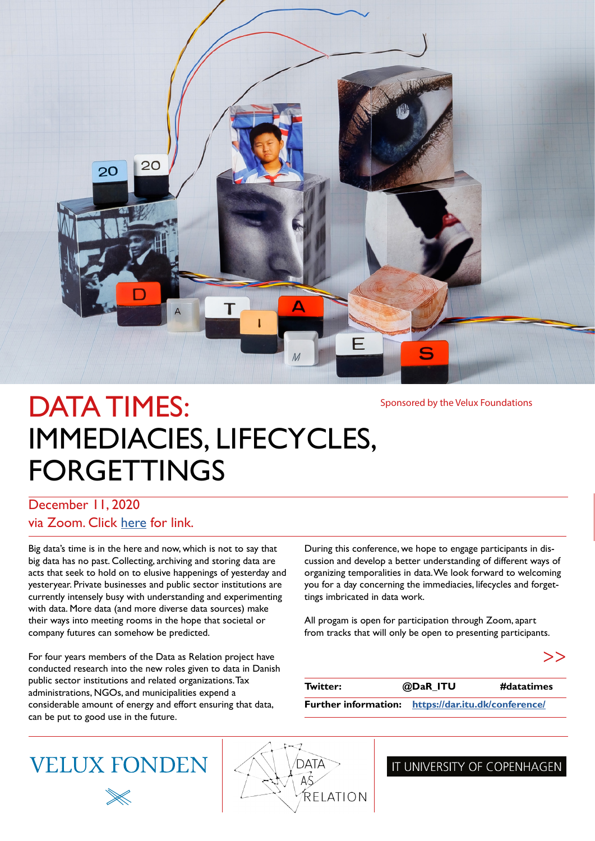

# DATA TIMES: IMMEDIACIES, LIFECYCLES, FORGETTINGS

Sponsored by the Velux Foundations

#### December 11, 2020 via Zoom. Click [here](https://itucph.zoom.us/j/68686748318?pwd=c2RzWDFNRTRhOE9zOXArZjIwYTRsZz09) for link.

Big data's time is in the here and now, which is not to say that big data has no past. Collecting, archiving and storing data are acts that seek to hold on to elusive happenings of yesterday and yesteryear. Private businesses and public sector institutions are currently intensely busy with understanding and experimenting with data. More data (and more diverse data sources) make their ways into meeting rooms in the hope that societal or company futures can somehow be predicted.

For four years members of the Data as Relation project have conducted research into the new roles given to data in Danish public sector institutions and related organizations. Tax administrations, NGOs, and municipalities expend a considerable amount of energy and effort ensuring that data, can be put to good use in the future.

During this conference, we hope to engage participants in discussion and develop a better understanding of different ways of organizing temporalities in data. We look forward to welcoming you for a day concerning the immediacies, lifecycles and forgettings imbricated in data work.

All progam is open for participation through Zoom, apart from tracks that will only be open to presenting participants.

| Twitter: | @DaR_ITU                                            | #datatimes |
|----------|-----------------------------------------------------|------------|
|          | Further information: https://dar.itu.dk/conference/ |            |

## **VELUX FONDEN**



#### IT UNIVERSITY OF COPENHAGEN

>>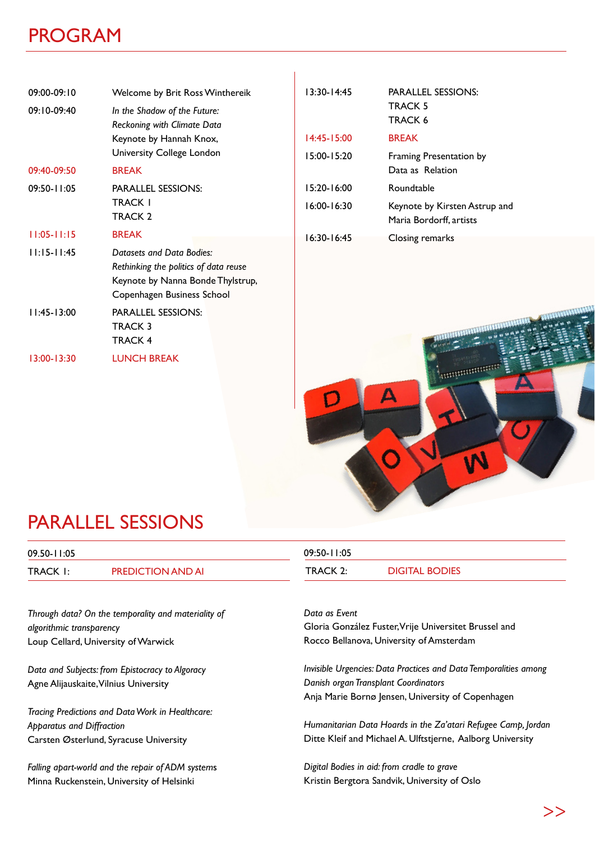#### PROGRAM

| $09:00-09:10$<br>09:10-09:40 | Welcome by Brit Ross Winthereik<br>In the Shadow of the Future:<br>Reckoning with Climate Data                                        | $13:30 - 14:45$ | <b>PARALLEL SESSIONS:</b><br><b>TRACK 5</b><br><b>TRACK 6</b> |
|------------------------------|---------------------------------------------------------------------------------------------------------------------------------------|-----------------|---------------------------------------------------------------|
|                              | Keynote by Hannah Knox,                                                                                                               | $14:45 - 15:00$ | <b>BREAK</b>                                                  |
|                              | University College London                                                                                                             | $15:00 - 15:20$ | Framing Presentation by                                       |
| 09:40-09:50                  | <b>BREAK</b>                                                                                                                          |                 | Data as Relation                                              |
| $09:50 - 11:05$              | <b>PARALLEL SESSIONS:</b>                                                                                                             | $15:20 - 16:00$ | Roundtable                                                    |
|                              | TRACK I<br>TRACK 2                                                                                                                    | $16:00 - 16:30$ | Keynote by Kirsten Astrup and<br>Maria Bordorff, artists      |
| $11:05 - 11:15$              | <b>BREAK</b>                                                                                                                          | $16:30 - 16:45$ | Closing remarks                                               |
| $11:15 - 11:45$              | Datasets and Data Bodies:<br>Rethinking the politics of data reuse<br>Keynote by Nanna Bonde Thylstrup,<br>Copenhagen Business School |                 |                                                               |
| $11:45 - 13:00$              | <b>PARALLEL SESSIONS:</b><br>TRACK 3<br>TRACK 4                                                                                       |                 | <b>MARTIN HALL</b>                                            |

Ï



### PARALLEL SESSIONS

13:00-13:30 LUNCH BREAK

| 09.50-11:05     |                          | 09:50-11:05 |                       |
|-----------------|--------------------------|-------------|-----------------------|
| <b>TRACK I:</b> | <b>PREDICTION AND AI</b> | TRACK 2:    | <b>DIGITAL BODIES</b> |

*Through data? On the temporality and materiality of algorithmic transparency* Loup Cellard, University of Warwick

*Data and Subjects: from Epistocracy to Algoracy* Agne Alijauskaite, Vilnius University

*Tracing Predictions and Data Work in Healthcare: Apparatus and Diffraction* Carsten Østerlund, Syracuse University

*Falling apart-world and the repair of ADM system*s Minna Ruckenstein, University of Helsinki

*Data as Event* Gloria González Fuster, Vrije Universitet Brussel and Rocco Bellanova, University of Amsterdam

*Invisible Urgencies: Data Practices and Data Temporalities among Danish organ Transplant Coordinators* Anja Marie Bornø Jensen, University of Copenhagen

*Humanitarian Data Hoards in the Za'atari Refugee Camp, Jordan* Ditte Kleif and Michael A. Ulftstjerne, Aalborg University

*Digital Bodies in aid: from cradle to grave* Kristin Bergtora Sandvik, University of Oslo